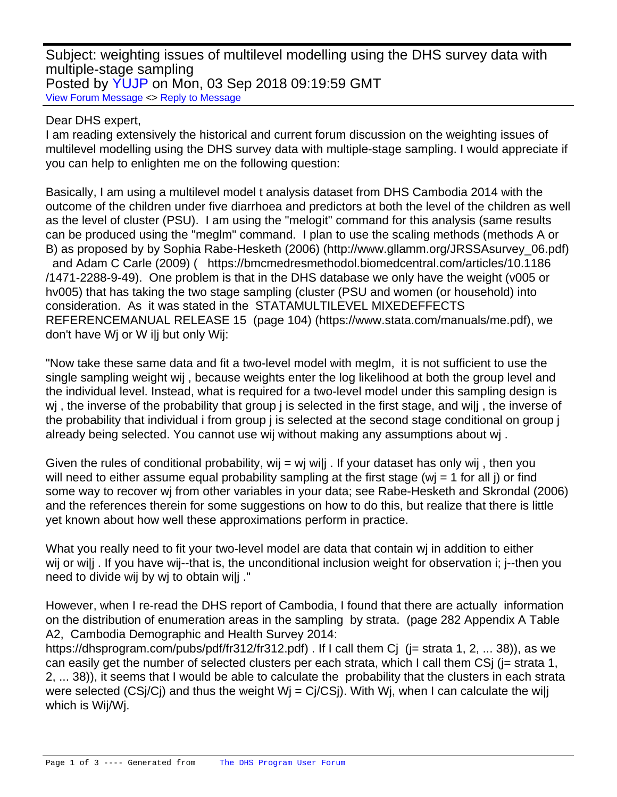Subject: weighting issues of multilevel modelling using the DHS survey data with multiple-stage sampling Posted by [YUJP](https://userforum.dhsprogram.com/index.php?t=usrinfo&id=6828) on Mon, 03 Sep 2018 09:19:59 GMT [View Forum Message](https://userforum.dhsprogram.com/index.php?t=rview&th=7296&goto=15703#msg_15703) <> [Reply to Message](https://userforum.dhsprogram.com/index.php?t=post&reply_to=15703)

## Dear DHS expert,

I am reading extensively the historical and current forum discussion on the weighting issues of multilevel modelling using the DHS survey data with multiple-stage sampling. I would appreciate if you can help to enlighten me on the following question:

Basically, I am using a multilevel model t analysis dataset from DHS Cambodia 2014 with the outcome of the children under five diarrhoea and predictors at both the level of the children as well as the level of cluster (PSU). I am using the "melogit" command for this analysis (same results can be produced using the "meglm" command. I plan to use the scaling methods (methods A or B) as proposed by by Sophia Rabe-Hesketh (2006) (http://www.gllamm.org/JRSSAsurvey\_06.pdf) and Adam C Carle (2009) ( https://bmcmedresmethodol.biomedcentral.com/articles/10.1186 /1471-2288-9-49). One problem is that in the DHS database we only have the weight (v005 or hv005) that has taking the two stage sampling (cluster (PSU and women (or household) into consideration. As it was stated in the STATAMULTILEVEL MIXEDEFFECTS REFERENCEMANUAL RELEASE 15 (page 104) (https://www.stata.com/manuals/me.pdf), we don't have Wj or W i|j but only Wij:

"Now take these same data and fit a two-level model with meglm, it is not sufficient to use the single sampling weight wij , because weights enter the log likelihood at both the group level and the individual level. Instead, what is required for a two-level model under this sampling design is wi, the inverse of the probability that group i is selected in the first stage, and wilj, the inverse of the probability that individual i from group j is selected at the second stage conditional on group j already being selected. You cannot use wij without making any assumptions about wj .

Given the rules of conditional probability, wij = wj wilj . If your dataset has only wij, then you will need to either assume equal probability sampling at the first stage ( $w<sub>i</sub> = 1$  for all j) or find some way to recover wj from other variables in your data; see Rabe-Hesketh and Skrondal (2006) and the references therein for some suggestions on how to do this, but realize that there is little yet known about how well these approximations perform in practice.

What you really need to fit your two-level model are data that contain wi in addition to either wij or wilj. If you have wij--that is, the unconditional inclusion weight for observation i; j--then you need to divide wij by wj to obtain wi|j ."

However, when I re-read the DHS report of Cambodia, I found that there are actually information on the distribution of enumeration areas in the sampling by strata. (page 282 Appendix A Table A2, Cambodia Demographic and Health Survey 2014:

https://dhsprogram.com/pubs/pdf/fr312/fr312.pdf). If I call them C (j = strata 1, 2, ... 38)), as we can easily get the number of selected clusters per each strata, which I call them CSj (j= strata 1, 2, ... 38)), it seems that I would be able to calculate the probability that the clusters in each strata were selected (CS $i/Ci$ ) and thus the weight W $i = Ci/CSi$ ). With W $i$ , when I can calculate the wilj which is Wij/Wj.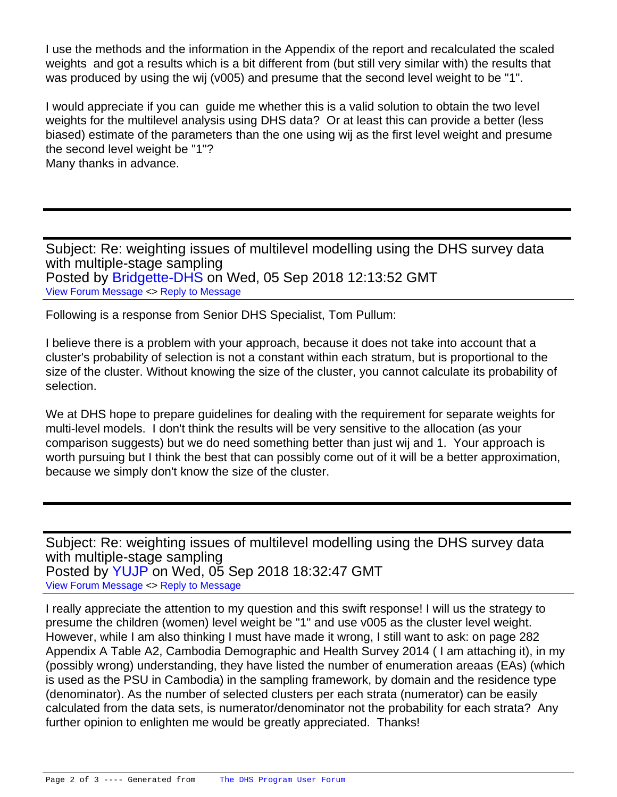I use the methods and the information in the Appendix of the report and recalculated the scaled weights and got a results which is a bit different from (but still very similar with) the results that was produced by using the wij (v005) and presume that the second level weight to be "1".

I would appreciate if you can guide me whether this is a valid solution to obtain the two level weights for the multilevel analysis using DHS data? Or at least this can provide a better (less biased) estimate of the parameters than the one using wij as the first level weight and presume the second level weight be "1"? Many thanks in advance.

Subject: Re: weighting issues of multilevel modelling using the DHS survey data with multiple-stage sampling Posted by [Bridgette-DHS](https://userforum.dhsprogram.com/index.php?t=usrinfo&id=11) on Wed, 05 Sep 2018 12:13:52 GMT [View Forum Message](https://userforum.dhsprogram.com/index.php?t=rview&th=7296&goto=15713#msg_15713) <> [Reply to Message](https://userforum.dhsprogram.com/index.php?t=post&reply_to=15713)

Following is a response from Senior DHS Specialist, Tom Pullum:

I believe there is a problem with your approach, because it does not take into account that a cluster's probability of selection is not a constant within each stratum, but is proportional to the size of the cluster. Without knowing the size of the cluster, you cannot calculate its probability of selection.

We at DHS hope to prepare guidelines for dealing with the requirement for separate weights for multi-level models. I don't think the results will be very sensitive to the allocation (as your comparison suggests) but we do need something better than just wij and 1. Your approach is worth pursuing but I think the best that can possibly come out of it will be a better approximation, because we simply don't know the size of the cluster.

Subject: Re: weighting issues of multilevel modelling using the DHS survey data with multiple-stage sampling Posted by [YUJP](https://userforum.dhsprogram.com/index.php?t=usrinfo&id=6828) on Wed, 05 Sep 2018 18:32:47 GMT [View Forum Message](https://userforum.dhsprogram.com/index.php?t=rview&th=7296&goto=15714#msg_15714) <> [Reply to Message](https://userforum.dhsprogram.com/index.php?t=post&reply_to=15714)

I really appreciate the attention to my question and this swift response! I will us the strategy to presume the children (women) level weight be "1" and use v005 as the cluster level weight. However, while I am also thinking I must have made it wrong, I still want to ask: on page 282 Appendix A Table A2, Cambodia Demographic and Health Survey 2014 ( I am attaching it), in my (possibly wrong) understanding, they have listed the number of enumeration areaas (EAs) (which is used as the PSU in Cambodia) in the sampling framework, by domain and the residence type (denominator). As the number of selected clusters per each strata (numerator) can be easily calculated from the data sets, is numerator/denominator not the probability for each strata? Any further opinion to enlighten me would be greatly appreciated. Thanks!